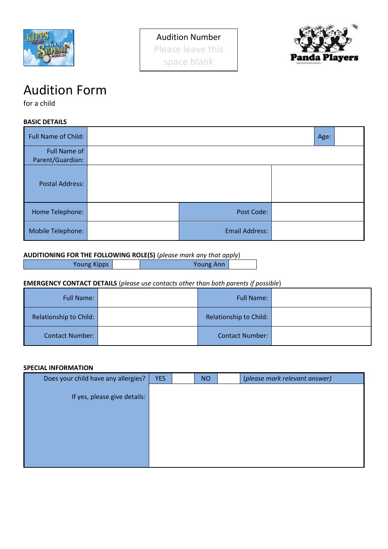



# Audition Form

for a child

**BASIC DETAILS**

| <b>Full Name of Child:</b>              |                       | Age: |  |
|-----------------------------------------|-----------------------|------|--|
| <b>Full Name of</b><br>Parent/Guardian: |                       |      |  |
| <b>Postal Address:</b>                  |                       |      |  |
| Home Telephone:                         | Post Code:            |      |  |
| Mobile Telephone:                       | <b>Email Address:</b> |      |  |

## **AUDITIONING FOR THE FOLLOWING ROLE(S)** (*please mark any that apply*)

Young Kipps **Young Ann** 

## **EMERGENCY CONTACT DETAILS** (*please use contacts other than both parents if possible*)

| <b>Full Name:</b>      | <b>Full Name:</b>      |  |
|------------------------|------------------------|--|
| Relationship to Child: | Relationship to Child: |  |
| <b>Contact Number:</b> | <b>Contact Number:</b> |  |

#### **SPECIAL INFORMATION**

| Does your child have any allergies? | <b>YES</b> | <b>NO</b> | (please mark relevant answer) |
|-------------------------------------|------------|-----------|-------------------------------|
| If yes, please give details:        |            |           |                               |
|                                     |            |           |                               |
|                                     |            |           |                               |
|                                     |            |           |                               |